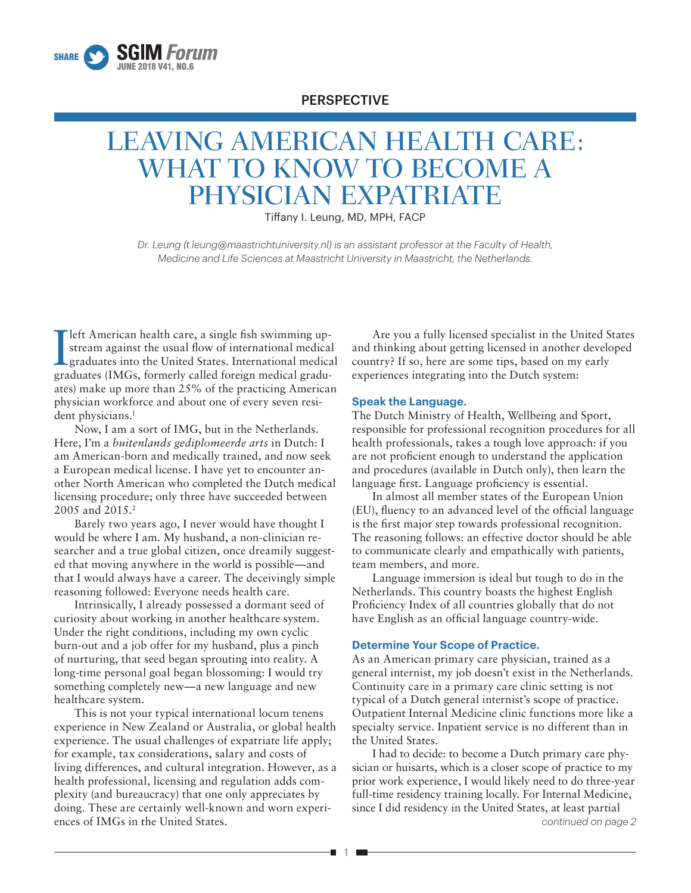

# PERSPECTIVE

# LEAVING AMERICAN HEALTH CARE: WHAT TO KNOW TO BECOME A PHYSICIAN EXPATRIATE

Tiffany I. Leung, MD, MPH, FACP

*Dr. Leung (t.leung@maastrichtuniversity.nl) is an assistant professor at the Faculty of Health, Medicine and Life Sciences at Maastricht University in Maastricht, the Netherlands.*

Ieft American health care, a single fish swimming upstream against the usual flow of international medical graduates into the United States. International medical graduates (IMGs, formerly called foreign medical graduates) make up more than 25% of the practicing American physician workforce and about one of every seven resident physicians.<sup>1</sup>

Now, I am a sort of IMG, but in the Netherlands. Here, I'm a *buitenlands gediplomeerde arts* in Dutch: I am American-born and medically trained, and now seek a European medical license. I have yet to encounter another North American who completed the Dutch medical licensing procedure; only three have succeeded between 2005 and 2015.<sup>2</sup>

Barely two years ago, I never would have thought I would be where I am. My husband, a non-clinician researcher and a true global citizen, once dreamily suggested that moving anywhere in the world is possible—and that I would always have a career. The deceivingly simple reasoning followed: Everyone needs health care.

Intrinsically, I already possessed a dormant seed of curiosity about working in another healthcare system. Under the right conditions, including my own cyclic burn-out and a job offer for my husband, plus a pinch of nurturing, that seed began sprouting into reality. A long-time personal goal began blossoming: I would try something completely new—a new language and new healthcare system.

This is not your typical international locum tenens experience in New Zealand or Australia, or global health experience. The usual challenges of expatriate life apply; for example, tax considerations, salary and costs of living differences, and cultural integration. However, as a health professional, licensing and regulation adds complexity (and bureaucracy) that one only appreciates by doing. These are certainly well-known and worn experiences of IMGs in the United States.

Are you a fully licensed specialist in the United States and thinking about getting licensed in another developed country? If so, here are some tips, based on my early experiences integrating into the Dutch system:

#### **Speak the Language.**

The Dutch Ministry of Health, Wellbeing and Sport, responsible for professional recognition procedures for all health professionals, takes a tough love approach: if you are not proficient enough to understand the application and procedures (available in Dutch only), then learn the language first. Language proficiency is essential.

In almost all member states of the European Union (EU), fluency to an advanced level of the official language is the first major step towards professional recognition. The reasoning follows: an effective doctor should be able to communicate clearly and empathically with patients, team members, and more.

Language immersion is ideal but tough to do in the Netherlands. This country boasts the highest English Proficiency Index of all countries globally that do not have English as an official language country-wide.

#### **Determine Your Scope of Practice.**

As an American primary care physician, trained as a general internist, my job doesn't exist in the Netherlands. Continuity care in a primary care clinic setting is not typical of a Dutch general internist's scope of practice. Outpatient Internal Medicine clinic functions more like a specialty service. Inpatient service is no different than in the United States.

*continued on page 2* I had to decide: to become a Dutch primary care physician or huisarts, which is a closer scope of practice to my prior work experience, I would likely need to do three-year full-time residency training locally. For Internal Medicine, since I did residency in the United States, at least partial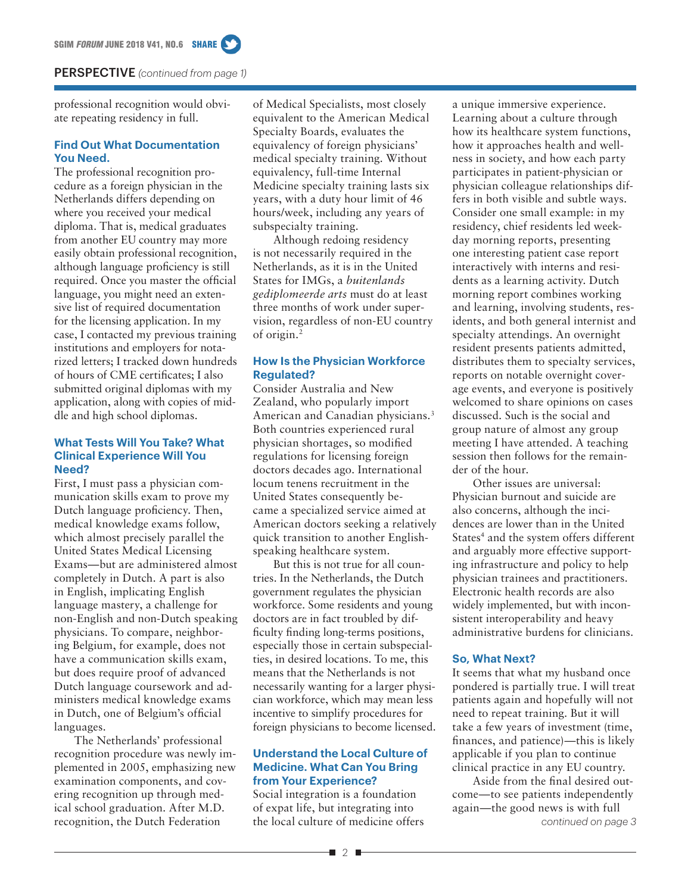#### PERSPECTIVE *(continued from page 1)*

professional recognition would obviate repeating residency in full.

## **Find Out What Documentation You Need.**

The professional recognition procedure as a foreign physician in the Netherlands differs depending on where you received your medical diploma. That is, medical graduates from another EU country may more easily obtain professional recognition, although language proficiency is still required. Once you master the official language, you might need an extensive list of required documentation for the licensing application. In my case, I contacted my previous training institutions and employers for notarized letters; I tracked down hundreds of hours of CME certificates; I also submitted original diplomas with my application, along with copies of middle and high school diplomas.

### **What Tests Will You Take? What Clinical Experience Will You Need?**

First, I must pass a physician communication skills exam to prove my Dutch language proficiency. Then, medical knowledge exams follow, which almost precisely parallel the United States Medical Licensing Exams—but are administered almost completely in Dutch. A part is also in English, implicating English language mastery, a challenge for non-English and non-Dutch speaking physicians. To compare, neighboring Belgium, for example, does not have a communication skills exam, but does require proof of advanced Dutch language coursework and administers medical knowledge exams in Dutch, one of Belgium's official languages.

The Netherlands' professional recognition procedure was newly implemented in 2005, emphasizing new examination components, and covering recognition up through medical school graduation. After M.D. recognition, the Dutch Federation

of Medical Specialists, most closely equivalent to the American Medical Specialty Boards, evaluates the equivalency of foreign physicians' medical specialty training. Without equivalency, full-time Internal Medicine specialty training lasts six years, with a duty hour limit of 46 hours/week, including any years of subspecialty training.

Although redoing residency is not necessarily required in the Netherlands, as it is in the United States for IMGs, a *buitenlands gediplomeerde arts* must do at least three months of work under supervision, regardless of non-EU country of origin.2

# **How Is the Physician Workforce Regulated?**

Consider Australia and New Zealand, who popularly import American and Canadian physicians.<sup>3</sup> Both countries experienced rural physician shortages, so modified regulations for licensing foreign doctors decades ago. International locum tenens recruitment in the United States consequently became a specialized service aimed at American doctors seeking a relatively quick transition to another Englishspeaking healthcare system.

But this is not true for all countries. In the Netherlands, the Dutch government regulates the physician workforce. Some residents and young doctors are in fact troubled by difficulty finding long-terms positions, especially those in certain subspecialties, in desired locations. To me, this means that the Netherlands is not necessarily wanting for a larger physician workforce, which may mean less incentive to simplify procedures for foreign physicians to become licensed.

#### **Understand the Local Culture of Medicine. What Can You Bring from Your Experience?**

Social integration is a foundation of expat life, but integrating into the local culture of medicine offers

a unique immersive experience. Learning about a culture through how its healthcare system functions, how it approaches health and wellness in society, and how each party participates in patient-physician or physician colleague relationships differs in both visible and subtle ways. Consider one small example: in my residency, chief residents led weekday morning reports, presenting one interesting patient case report interactively with interns and residents as a learning activity. Dutch morning report combines working and learning, involving students, residents, and both general internist and specialty attendings. An overnight resident presents patients admitted, distributes them to specialty services, reports on notable overnight coverage events, and everyone is positively welcomed to share opinions on cases discussed. Such is the social and group nature of almost any group meeting I have attended. A teaching session then follows for the remainder of the hour.

Other issues are universal: Physician burnout and suicide are also concerns, although the incidences are lower than in the United States<sup>4</sup> and the system offers different and arguably more effective supporting infrastructure and policy to help physician trainees and practitioners. Electronic health records are also widely implemented, but with inconsistent interoperability and heavy administrative burdens for clinicians.

#### **So, What Next?**

It seems that what my husband once pondered is partially true. I will treat patients again and hopefully will not need to repeat training. But it will take a few years of investment (time, finances, and patience)—this is likely applicable if you plan to continue clinical practice in any EU country.

*continued on page 3* Aside from the final desired outcome—to see patients independently again—the good news is with full